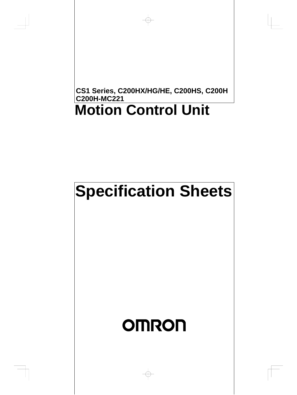## **Motion Control Unit CS1 Series, C200HX/HG/HE, C200HS, C200H C200H-MC221**

# **Specification Sheets**

# **OMRON**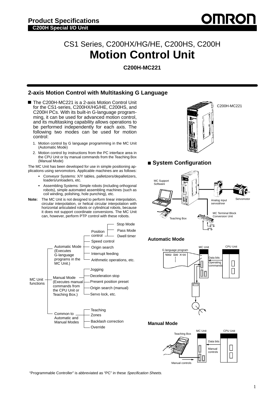

## CS1 Series, C200HX/HG/HE, C200HS, C200H **Motion Control Unit**

**C200H-MC221**

## **2-axis Motion Control with Multitasking G Language**

- The C200H-MC221 is a 2-axis Motion Control Unit for the CS1-series, C200HX/HG/HE, C200HS, and C200H PCs. With its built-in G-language programming, it can be used for advanced motion control, and its multitasking capability allows operations to be performed independently for each axis. The following two modes can be used for motion control:
	- 1. Motion control by G language programming in the MC Unit (Automatic Mode)
	- 2. Motion control by instructions from the PC interface area in the CPU Unit or by manual commands from the Teaching Box (Manual Mode)

The MC Unit has been developed for use in simple positioning applications using servomotors. Applicable machines are as follows:

- Conveyor Systems: X/Y tables, palletizers/depalletizers, loaders/unloaders, etc.
- Assembling Systems: Simple robots (including orthogonal robots), simple automated assembling machines (such as coil winding, polishing, hole punching), etc.
- **Note:** The MC Unit is not designed to perform linear interpolation, circular interpolation, or helical circular interpolation with horizontal articulated robots or cylindrical robots, because it does not support coordinate conversions. The MC Unit can, however, perform PTP control with these robots.







#### **Manual Mode**



"Programmable Controller" is abbreviated as "PC" in these Specification Sheets.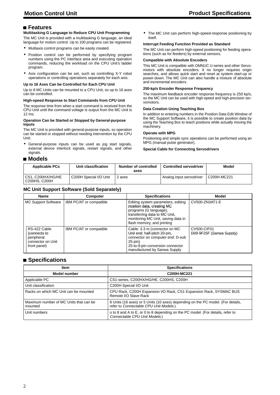#### **Features**

#### **Multitasking G Language to Reduce CPU Unit Programming**

The MC Unit is provided with a multitasking G language, an ideal language for motion control. Up to 100 programs can be registered.

- Multiaxis control programs can be easily created.
- Position control can be performed by specifying program numbers using the PC interface area and executing operation commands, reducing the workload on the CPU Unit's ladder program.
- Axis configuration can be set, such as controlling X-Y robot operations or controlling operations separately for each axis.

#### **Up to 16 Axes Can be Controlled for Each CPU Unit**

Up to 8 MC Units can be mounted to a CPU Unit, so up to 16 axes can be controlled.

#### **High-speed Response to Start Commands from CPU Unit**

The response time from when a start command is received from the CPU Unit until the command voltage is output from the MC Unit is 12 ms.

#### **Operation Can be Started or Stopped by General-purpose Inputs**

The MC Unit is provided with general-purpose inputs, so operation can be started or stopped without needing intervention by the CPU Unit.

- General-purpose inputs can be used as jog start signals, external device interlock signals, restart signals, and other signals.
- **Models**

• The MC Unit can perform high-speed-response positioning by itself.

#### **Interrupt Feeding Function Provided as Standard**

The MC Unit can perform high-speed positioning for feeding operations (such as for feeders) by external sensors.

#### **Compatible with Absolute Encoders**

This MC Unit is compatible with OMNUC U-series and other Servomotors with absolute encoders. It no longer requires origin searches, and allows quick start and reset at system start-up or power-down. The MC Unit can also handle a mixture of absolute and incremental encoders.

#### **250-kp/s Encoder Response Frequency**

The maximum feedback encoder response frequency is 250 kp/s, so the MC Unit can be used with high-speed and high-precision servomotors.

#### **Data Creation Using Teaching Box**

In addition to entering numbers in the Position Data Edit Window of the MC Support Software, it is possible to create position data by using the Teaching Box to teach positions while actually moving the machinery.

#### **Operate with MPG**

Positioning and simple sync operations can be performed using an MPG (manual pulse generator).

#### **Special Cable for Connecting Servodrivers**

| <b>Applicable PCs</b>              | Unit classification    | Number of controlled<br>axes | <b>Controlled servodriver</b> | Model       |
|------------------------------------|------------------------|------------------------------|-------------------------------|-------------|
| CS1. C200HX/HG/HE<br>C200HS, C200H | C200H Special I/O Unit | 2 axes                       | Analog input servodriver      | C200H-MC221 |

#### **MC Unit Support Software (Sold Separately)**

| <b>Name</b>                                                                     | <b>Computer</b>         | <b>Specifications</b>                                                                                                                                                                           | Model                                          |
|---------------------------------------------------------------------------------|-------------------------|-------------------------------------------------------------------------------------------------------------------------------------------------------------------------------------------------|------------------------------------------------|
| <b>MC Support Software</b>                                                      | IBM PC/AT or compatible | Editing system parameters, editing<br>position data, creating MC<br>programs (G language),<br>transferring data to MC Unit,<br>monitoring MC Unit, saving data in<br>flash memory, and printing | CV500-ZN3AT1-E                                 |
| RS-422 Cable<br>(connects to<br>peripheral<br>connector on Unit<br>front panel) | IBM PC/AT or compatible | Cable: 3.3 m (connector on MC<br>Unit end: half-pitch 20-pin,<br>connector on computer end: D-sub<br>25-pin)<br>25-to-9-pin conversion connector<br>manufactured by Sanwa Supply                | <b>CV500-CIF01</b><br>D09-9F25F (Sanwa Supply) |

## **Specifications**

| <b>Item</b>                                       | <b>Specifications</b>                                                                                                     |  |
|---------------------------------------------------|---------------------------------------------------------------------------------------------------------------------------|--|
| <b>Model number</b>                               | C200H-MC221                                                                                                               |  |
| Applicable PC                                     | CS1-series, C200HX/HG/HE, C200HS, C200H                                                                                   |  |
| Unit classification                               | C200H Special I/O Unit                                                                                                    |  |
| Racks on which MC Unit can be mounted             | CPU Rack, C200H Expansion I/O Rack, CS1 Expansion Rack, SYSMAC BUS<br>Remote I/O Slave Rack                               |  |
| Maximum number of MC Units that can be<br>mounted | 8 Units (16 axes) or 5 Units (10 axes) depending on the PC model. (For details,<br>refer to Connectable CPU Unit Models.) |  |
| Unit numbers                                      | o to 8 and A to E, or 0 to 8 depending on the PC model. (For details, refer to<br>Connectable CPU Unit Models.)           |  |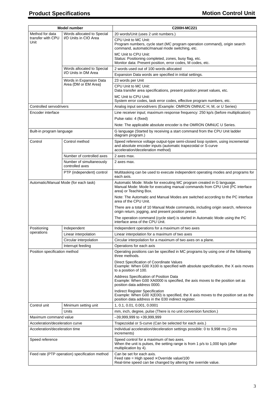| <b>Model number</b>                                |                                             | C200H-MC221                                                                                                                                                                          |
|----------------------------------------------------|---------------------------------------------|--------------------------------------------------------------------------------------------------------------------------------------------------------------------------------------|
| Method for data                                    | Words allocated to Special                  | 20 words/Unit (uses 2 unit numbers.)                                                                                                                                                 |
| I/O Units in CIO Area<br>transfer with CPU<br>Unit |                                             | CPU Unit to MC Unit:<br>Program numbers, cycle start (MC program operation command), origin search<br>command, automatic/manual mode switching, etc.                                 |
|                                                    |                                             | MC Unit to CPU Unit:<br>Status: Positioning completed, zones, busy flag, etc.<br>Monitor data: Present position, error codes, M codes, etc.                                          |
|                                                    | Words allocated to Special                  | 2 words used out of 100 words allocated                                                                                                                                              |
|                                                    | I/O Units in DM Area                        | Expansion Data words are specified in initial settings.                                                                                                                              |
|                                                    | Words in Expansion Data                     | 23 words per Unit                                                                                                                                                                    |
|                                                    | Area (DM or EM Area)                        | CPU Unit to MC Unit:<br>Data transfer area specifications, present position preset values, etc.                                                                                      |
|                                                    |                                             | MC Unit to CPU Unit:<br>System error codes, task error codes, effective program numbers, etc.                                                                                        |
| Controlled servodrivers                            |                                             | Analog input servodrivers (Example: OMRON OMNUC H, M, or U Series)                                                                                                                   |
| Encoder interface                                  |                                             | Line receiver input; maximum response frequency: 250 kp/s (before multiplication)                                                                                                    |
|                                                    |                                             | Pulse ratio: 4 (fixed)                                                                                                                                                               |
|                                                    |                                             | Note: The applicable absolute encoder is the OMRON OMNUC U Series.                                                                                                                   |
| Built-in program language                          |                                             | G language (Started by receiving a start command from the CPU Unit ladder<br>diagram program.)                                                                                       |
| Control                                            | Control method                              | Speed reference voltage output-type semi-closed loop system, using incremental<br>and absolute encoder inputs (automatic trapezoidal or S-curve<br>acceleration/deceleration method) |
|                                                    | Number of controlled axes                   | 2 axes max.                                                                                                                                                                          |
|                                                    | Number of simultaneously<br>controlled axes | 2 axes max.                                                                                                                                                                          |
|                                                    | PTP (independent) control                   | Multitasking can be used to execute independent operating modes and programs for<br>each axis.                                                                                       |
|                                                    | Automatic/Manual Mode (for each task)       | Automatic Mode: Mode for executing MC program created in G language.<br>Manual Mode: Mode for executing manual commands from CPU Unit (PC interface<br>area) or Teaching Box.        |
|                                                    |                                             | Note: The Automatic and Manual Modes are switched according to the PC interface<br>area of the CPU Unit.                                                                             |
|                                                    |                                             | There are a total of 10 Manual Mode commands, including origin search, reference<br>origin return, jogging, and present position preset.                                             |
|                                                    |                                             | The operation command (cycle start) is started in Automatic Mode using the PC<br>interface area of the CPU Unit.                                                                     |
| Positioning<br>operations                          | Independent                                 | Independent operations for a maximum of two axes                                                                                                                                     |
|                                                    | Linear interpolation                        | Linear interpolation for a maximum of two axes                                                                                                                                       |
|                                                    | Circular interpolation                      | Circular interpolation for a maximum of two axes on a plane.                                                                                                                         |
|                                                    | Interrupt feeding                           | Operations for each axis                                                                                                                                                             |
| Position specification method                      |                                             | Operating positions can be specified in MC programs by using one of the following<br>three methods.                                                                                  |
|                                                    |                                             | Direct Specification of Coordinate Values<br>Example: When G00 X100 is specified with absolute specification, the X axis moves<br>to a position of 100.                              |
|                                                    |                                             | Address Specification of Position Data<br>Example: When G00 XA0000 is specified, the axis moves to the position set as<br>position data address 0000.                                |
|                                                    |                                             | Indirect Register Specification<br>Example: When G00 X(E00) is specified, the X axis moves to the position set as the<br>position data address in the E00 indirect register.         |
| Control unit                                       | Minimum setting unit                        | 1, 0.1, 0.01, 0.001, 0.0001                                                                                                                                                          |
|                                                    | Units                                       | mm, inch, degree, pulse (There is no unit conversion function.)                                                                                                                      |
| Maximum command value                              |                                             | -39,999,999 to +39,999,999                                                                                                                                                           |
| Acceleration/deceleration curve                    |                                             | Trapezoidal or S-curve (Can be selected for each axis.)                                                                                                                              |
| Acceleration/deceleration time                     |                                             | Individual acceleration/deceleration settings possible: 0 to 9,998 ms (2-ms)<br>increments)                                                                                          |
| Speed reference                                    |                                             | Speed control for a maximum of two axes.<br>When the unit is pulses, the setting range is from 1 p/s to 1,000 kp/s (after<br>multiplication by 4).                                   |
| Feed rate (PTP operation) specification method     |                                             | Can be set for each axis.<br>Feed rate = High speed $\times$ Override value/100<br>Real-time speed can be changed by altering the override value.                                    |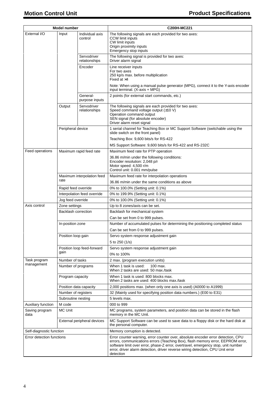|                            | <b>Model number</b> |                              | C200H-MC221                                                                                                                                                                                                                                                                                                                                             |
|----------------------------|---------------------|------------------------------|---------------------------------------------------------------------------------------------------------------------------------------------------------------------------------------------------------------------------------------------------------------------------------------------------------------------------------------------------------|
| External I/O               | Input               | Individual axis              | The following signals are each provided for two axes:                                                                                                                                                                                                                                                                                                   |
|                            |                     | control                      | <b>CCW limit inputs</b>                                                                                                                                                                                                                                                                                                                                 |
|                            |                     |                              | CW limit inputs<br>Origin proximity inputs                                                                                                                                                                                                                                                                                                              |
|                            |                     |                              | Emergency stop inputs                                                                                                                                                                                                                                                                                                                                   |
|                            |                     | Servodriver<br>relationships | The following signal is provided for two axes:<br>Driver alarm signal                                                                                                                                                                                                                                                                                   |
|                            |                     | Encoder                      | Line receiver inputs                                                                                                                                                                                                                                                                                                                                    |
|                            |                     |                              | For two axes<br>250 kp/s max. before multiplication<br>Fixed at $\times$ 4                                                                                                                                                                                                                                                                              |
|                            |                     |                              | Note: When using a manual pulse generator (MPG), connect it to the Y-axis encoder<br>input terminal. (X-axis + MPG)                                                                                                                                                                                                                                     |
|                            |                     | General-<br>purpose inputs   | 2 points (for external start commands, etc.)                                                                                                                                                                                                                                                                                                            |
|                            | Output              | Servodriver<br>relationships | The following signals are each provided for two axes:<br>Speed command voltage output $(\pm 10 \text{ V})$<br>Operation command output<br>SEN signal (for absolute encoder)<br>Driver alarm reset signal                                                                                                                                                |
|                            | Peripheral device   |                              | 1 serial channel for Teaching Box or MC Support Software (switchable using the<br>slide switch on the front panel)                                                                                                                                                                                                                                      |
|                            |                     |                              | Teaching Box: 9,600 bits/s for RS-422                                                                                                                                                                                                                                                                                                                   |
|                            |                     |                              | MS Support Software: 9,600 bits/s for RS-422 and RS-232C                                                                                                                                                                                                                                                                                                |
| Feed operations            |                     | Maximum rapid feed rate      | Maximum feed rate for PTP operation                                                                                                                                                                                                                                                                                                                     |
|                            |                     |                              | 36.86 m/min under the following conditions:<br>Encoder resolution: 2,048 p/r<br>Motor speed: 4,500 r/m<br>Control unit: 0.001 mm/pulse                                                                                                                                                                                                                  |
|                            |                     | Maximum interpolation feed   | Maximum feed rate for interpolation operations                                                                                                                                                                                                                                                                                                          |
|                            | rate                |                              | 36.86 m/min under the same conditions as above                                                                                                                                                                                                                                                                                                          |
|                            | Rapid feed override |                              | 0% to 100.0% (Setting unit: 0.1%)                                                                                                                                                                                                                                                                                                                       |
|                            |                     | Interpolation feed override  | 0% to 199.9% (Setting unit: 0.1%)                                                                                                                                                                                                                                                                                                                       |
|                            | Jog feed override   |                              | 0% to 100.0% (Setting unit: 0.1%)                                                                                                                                                                                                                                                                                                                       |
| Axis control               | Zone settings       |                              | Up to 8 zones/axis can be set.                                                                                                                                                                                                                                                                                                                          |
|                            | Backlash correction |                              | Backlash for mechanical system                                                                                                                                                                                                                                                                                                                          |
|                            |                     |                              | Can be set from 0 to 999 pulses.                                                                                                                                                                                                                                                                                                                        |
|                            | In-position zone    |                              | Number of accumulated pulses for determining the positioning completed status                                                                                                                                                                                                                                                                           |
|                            |                     |                              | Can be set from 0 to 999 pulses.                                                                                                                                                                                                                                                                                                                        |
|                            | Position loop gain  |                              | Servo system response adjustment gain<br>5 to 250 (1/s)                                                                                                                                                                                                                                                                                                 |
|                            |                     | Position loop feed-forward   | Servo system response adjustment gain                                                                                                                                                                                                                                                                                                                   |
|                            | gain                |                              | 0% to 100%                                                                                                                                                                                                                                                                                                                                              |
| Task program<br>management | Number of tasks     |                              | 2 max. (program execution units)                                                                                                                                                                                                                                                                                                                        |
|                            | Number of programs  |                              | When 1 task is used:<br>100 max.<br>When 2 tasks are used: 50 max./task                                                                                                                                                                                                                                                                                 |
|                            | Program capacity    |                              | When 1 task is used: 800 blocks max.<br>When 2 tasks are used: 400 blocks max./task                                                                                                                                                                                                                                                                     |
|                            |                     | Position data capacity       | 2,000 positions max. (when only one axis is used) (A0000 to A1999)                                                                                                                                                                                                                                                                                      |
|                            | Number of registers |                              | 32 (Mainly used for specifying position data numbers.) (E00 to E31)                                                                                                                                                                                                                                                                                     |
|                            | Subroutine nesting  |                              | 5 levels max.                                                                                                                                                                                                                                                                                                                                           |
| Auxiliary function         | M code              |                              | 000 to 999                                                                                                                                                                                                                                                                                                                                              |
| Saving program<br>data     | <b>MC Unit</b>      |                              | MC programs, system parameters, and position data can be stored in the flash<br>memory in the MC Unit.                                                                                                                                                                                                                                                  |
|                            |                     | External peripheral devices  | MC Support Software can be used to save data to a floppy disk or the hard disk at<br>the personal computer.                                                                                                                                                                                                                                             |
| Self-diagnostic function   |                     |                              | Memory corruption is detected.                                                                                                                                                                                                                                                                                                                          |
| Error detection functions  |                     |                              | Error counter warning, error counter over, absolute encoder error detection, CPU<br>errors, communications errors (Teaching Box), flash memory error, EEPROM error,<br>software limit over error, phase-Z error, overtravel, emergency stop, unit number<br>error, driver alarm detection, driver reverse wiring detection, CPU Unit error<br>detection |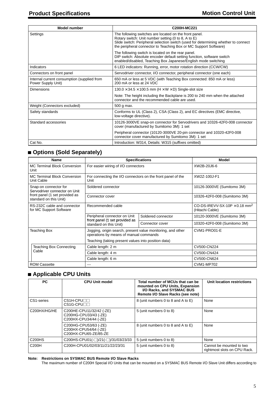| <b>Model number</b>                                               | C200H-MC221                                                                                                                                                                                                                                                             |
|-------------------------------------------------------------------|-------------------------------------------------------------------------------------------------------------------------------------------------------------------------------------------------------------------------------------------------------------------------|
| Settings                                                          | The following switches are located on the front panel.<br>Rotary switch: Unit number setting (0 to 8, A to E)<br>Slide switch: Peripheral selection switch (used for determining whether to connect<br>the peripheral connector to Teaching Box or MC Support Software) |
|                                                                   | The following switch is located on the rear panel.<br>DIP switch: Absolute encoder default setting function, software switch<br>enabled/disabled, Teaching Box Japanese/English mode switching                                                                          |
| Indicators                                                        | 6 LED indicators: Running, error, motor rotation direction (CCW/CW)                                                                                                                                                                                                     |
| Connectors on front panel                                         | Servodriver connector, I/O connector, peripheral connector (one each)                                                                                                                                                                                                   |
| Internal current consumption (supplied from<br>Power Supply Unit) | 650 mA or less at 5 VDC (with Teaching Box connected: 850 mA or less)<br>200 mA or less at 24 VDC                                                                                                                                                                       |
| Dimensions                                                        | $130.0 \times 34.5 \times 100.5$ mm (H $\times$ W $\times$ D) Single-slot size                                                                                                                                                                                          |
|                                                                   | Note: The height including the Backplane is 200 to 240 mm when the attached<br>connector and the recommended cable are used.                                                                                                                                            |
| Weight (Connectors excluded)                                      | 500 g max.                                                                                                                                                                                                                                                              |
| Safety standards                                                  | Conforms to UL (Class 2), CSA (Class 2), and EC directives (EMC directive,<br>low-voltage directive).                                                                                                                                                                   |
| Standard accessories                                              | 10126-3000VE snap-on connector for Servodrivers and 10326-42F0-008 connector<br>cover (manufactured by Sumitomo 3M): 1 set                                                                                                                                              |
|                                                                   | Peripheral connector (10120-3000VE 20-pin connector and 10320-42F0-008<br>connector cover manufactured by Sumitomo 3M): 1 set                                                                                                                                           |
| Cat No.                                                           | Introduction: W314, Details: W315 (suffixes omitted)                                                                                                                                                                                                                    |

## **Options (Sold Separately)**

| <b>Name</b>                                              | <b>Specifications</b>                                                                                 |                    | <b>Model</b>                                                        |
|----------------------------------------------------------|-------------------------------------------------------------------------------------------------------|--------------------|---------------------------------------------------------------------|
| <b>MC Terminal Block Conversion</b><br>Unit              | For easier wiring of I/O connectors                                                                   |                    | XW2B-20J6-6                                                         |
| <b>MC Terminal Block Conversion</b><br>Unit Cable        | For connecting the I/O connectors on the front panel of the<br>Unit                                   |                    | XW2Z-100J-F1                                                        |
| Snap-on connector for<br>Servodriver connector on Unit   | Soldered connector                                                                                    |                    | 10126-3000VE (Sumitomo 3M)                                          |
| front panel (1 set provided as<br>standard on this Unit) | Connector cover                                                                                       |                    | 10326-42F0-008 (Sumitomo 3M)                                        |
| RS-232C cable and connector<br>for MC Support Software   | Recommended cable                                                                                     |                    | CO-DS-IREVV-SX-10P $\times$ 0.18 mm <sup>2</sup><br>(Hitachi Cable) |
|                                                          | Peripheral connector on Unit                                                                          | Soldered connector | 10120-3000VE (Sumitomo 3M)                                          |
|                                                          | front panel (1 set provided as<br>standard on this Unit)                                              | Connector cover    | 10320-42F0-008 (Sumitomo 3M)                                        |
| <b>Teaching Box</b>                                      | Jogging, origin search, present value monitoring, and other<br>operations by means of manual commands |                    | CVM1-PRO01-E                                                        |
|                                                          | Teaching (taking present values into position data)                                                   |                    |                                                                     |
| Teaching Box Connecting                                  | Cable length: 2 m                                                                                     |                    | CV500-CN224                                                         |
| Cable                                                    | Cable length: 4 m                                                                                     |                    | CV500-CN424                                                         |
|                                                          | Cable length: 6 m                                                                                     |                    | CV500-CN624                                                         |
| <b>ROM Cassette</b>                                      | ---                                                                                                   |                    | <b>CVM1-MP702</b>                                                   |

## **Applicable CPU Units**

| <b>PC</b>    | <b>CPU Unit model</b>                                                      | Total number of MCUs that can be<br>mounted on CPU Units, Expansion<br>I/O Racks, and SYSMAC BUS<br>Remote I/O Slave Racks (see note) | Unit location restrictions                               |
|--------------|----------------------------------------------------------------------------|---------------------------------------------------------------------------------------------------------------------------------------|----------------------------------------------------------|
| CS1-series   | CS1H-CPU⊟⊟<br>$CS1G-CPU$                                                   | 8 (unit numbers 0 to 8 and A to E)                                                                                                    | None                                                     |
| C200HX/HG/HE | C200HE-CPU11/32/42 (-ZE)<br>C200HG-CPU33/43 (-ZE)<br>C200HX-CPU34/44 (-ZE) | 5 (unit numbers 0 to 8)                                                                                                               | None                                                     |
|              | C200HG-CPU53/63 (-ZE)<br>C200HX-CPU54/64 (-ZE)<br>C200HX-CPU65-ZE/85-ZE    | 8 (unit numbers 0 to 8 and A to E)                                                                                                    | None                                                     |
| C200HS       | C200HS-CPU01(-□)/21(-□)/31/03/23/33                                        | 5 (unit numbers 0 to 8)                                                                                                               | None                                                     |
| C200H        | C200H-CPU01/02/03/11/21/22/23/31                                           | 5 (unit numbers 0 to 8)                                                                                                               | Cannot be mounted to two<br>rightmost slots on CPU Rack. |

**Note: Restrictions on SYSMAC BUS Remote I/O Slave Racks**

The maximum number of C200H Special I/O Units that can be mounted on a SYSMAC BUS Remote I/O Slave Unit differs according to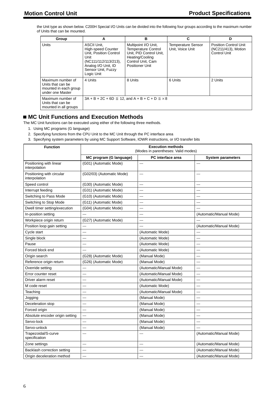the Unit type as shown below. C200H Special I/O Units can be divided into the following four groups according to the maximum number of Units that can be mounted.

| Group                                                                               | A                                                                                                                                                                    | в                                                                                                                                        | C                                             | D                                                                          |
|-------------------------------------------------------------------------------------|----------------------------------------------------------------------------------------------------------------------------------------------------------------------|------------------------------------------------------------------------------------------------------------------------------------------|-----------------------------------------------|----------------------------------------------------------------------------|
| <b>Units</b>                                                                        | <b>ASCII Unit.</b><br><b>High-speed Counter</b><br>Unit. Position Control<br>Unit<br>(NC111/112/113/213),<br>Analog I/O Unit, ID<br>Sensor Unit, Fuzzy<br>Logic Unit | Multipoint I/O Unit,<br><b>Temperature Control</b><br>Unit, PID Control Unit,<br>Heating/Cooling<br>Control Unit, Cam<br>Positioner Unit | <b>Temperature Sensor</b><br>Unit, Voice Unit | <b>Position Control Unit</b><br>(NC211/413), Motion<br><b>Control Unit</b> |
| Maximum number of<br>Units that can be<br>mounted in each group<br>under one Master | 4 Units                                                                                                                                                              | 8 Units                                                                                                                                  | 6 Units                                       | 2 Units                                                                    |
| Maximum number of<br>Units that can be<br>mounted in all groups                     |                                                                                                                                                                      | $3A + B + 2C + 6D \le 12$ , and $A + B + C + D \le x8$                                                                                   |                                               |                                                                            |

## ■ MC Unit Functions and Execution Methods

The MC Unit functions can be executed using either of the following three methods.

- 1. Using MC programs (G language)
- 2. Specifying functions from the CPU Unit to the MC Unit through the PC interface area
- 3. Specifying system parameters by using MC Support Software, IOWR instructions, or I/O transfer bits

| <b>Function</b>                            | <b>Execution methods</b><br>(Modes in parentheses: Valid modes) |                         |                          |
|--------------------------------------------|-----------------------------------------------------------------|-------------------------|--------------------------|
|                                            | MC program (G language)                                         | PC interface area       | <b>System parameters</b> |
| Positioning with linear<br>interpolation   | (G01) (Automatic Mode)                                          | ---                     | $---$                    |
| Positioning with circular<br>interpolation | (G02/03) (Automatic Mode)                                       | ---                     | ---                      |
| Speed control                              | (G30) (Automatic Mode)                                          | ---                     | ---                      |
| Interrupt feeding                          | (G31) (Automatic Mode)                                          | ---                     | ---                      |
| Switching to Pass Mode                     | (G10) (Automatic Mode)                                          | ---                     | ---                      |
| Switching to Stop Mode                     | (G11) (Automatic Mode)                                          | ---                     | ---                      |
| Dwell timer setting/execution              | (G04) (Automatic Mode)                                          | ---                     | ---                      |
| In-position setting                        | $\overline{a}$                                                  | ---                     | (Automatic/Manual Mode)  |
| Workpiece origin return                    | (G27) (Automatic Mode)                                          | ---                     | ---                      |
| Position loop gain setting                 | $\overline{a}$                                                  | ---                     | (Automatic/Manual Mode)  |
| Cycle start                                | ---                                                             | (Automatic Mode)        | ---                      |
| Single block                               | ---                                                             | (Automatic Mode)        | ---                      |
| Pause                                      | $\overline{a}$                                                  | (Automatic Mode)        | $\overline{a}$           |
| Forced block end                           | ---                                                             | (Automatic Mode)        | ---                      |
| Origin search                              | (G28) (Automatic Mode)                                          | (Manual Mode)           | ---                      |
| Reference origin return                    | (G26) (Automatic Mode)                                          | (Manual Mode)           | ---                      |
| Override setting                           | ---                                                             | (Automatic/Manual Mode) | ---                      |
| Error counter reset                        | ---                                                             | (Automatic/Manual Mode) | ---                      |
| Driver alarm reset                         | ---                                                             | (Automatic/Manual Mode) | ---                      |
| M code reset                               | ---                                                             | (Automatic Mode)        | ---                      |
| Teaching                                   | $\overline{a}$                                                  | (Automatic/Manual Mode) | ---                      |
| Jogging                                    | ---                                                             | (Manual Mode)           | ---                      |
| Deceleration stop                          | ---                                                             | (Manual Mode)           | ---                      |
| Forced origin                              | $\overline{a}$                                                  | (Manual Mode)           | ---                      |
| Absolute encoder origin setting            | ---                                                             | (Manual Mode)           | $\sim$                   |
| Servo-lock                                 | $---$                                                           | (Manual Mode)           | ---                      |
| Servo-unlock                               |                                                                 | (Manual Mode)           | ---                      |
| Trapezoidal/S-curve<br>specification       | ---                                                             | ---                     | (Automatic/Manual Mode)  |
| Zone settings                              | ---                                                             | ---                     | (Automatic/Manual Mode)  |
| Backlash correction setting                | ---                                                             |                         | (Automatic/Manual Mode)  |
| Origin deceleration method                 | $\overline{a}$                                                  | ---                     | (Automatic/Manual Mode)  |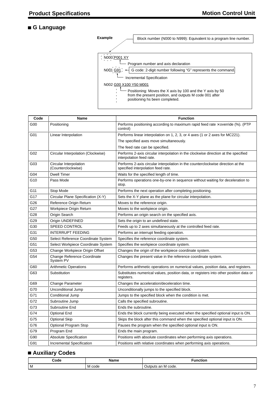## **G Language**



| Code | Name                                            | <b>Function</b>                                                                                                       |
|------|-------------------------------------------------|-----------------------------------------------------------------------------------------------------------------------|
| G00  | Positioning                                     | Performs positioning according to maximum rapid feed rate $\times$ override (%). (PTP<br>control)                     |
| G01  | Linear Interpolation                            | Performs linear interpolation on 1, 2, 3, or 4 axes (1 or 2 axes for MC221).                                          |
|      |                                                 | The specified axes move simultaneously.                                                                               |
|      |                                                 | The feed rate can be specified.                                                                                       |
| G02  | Circular Interpolation (Clockwise)              | Performs 2-axis circular interpolation in the clockwise direction at the specified<br>interpolation feed rate.        |
| G03  | Circular Interpolation<br>(Counterclockwise)    | Performs 2-axis circular interpolation in the counterclockwise direction at the<br>specified interpolation feed rate. |
| G04  | <b>Dwell Timer</b>                              | Waits for the specified length of time.                                                                               |
| G10  | Pass Mode                                       | Performs operations one-by-one in sequence without waiting for deceleration to<br>stop.                               |
| G11  | Stop Mode                                       | Performs the next operation after completing positioning.                                                             |
| G17  | Circular Plane Specification (X-Y)              | Sets the X-Y plane as the plane for circular interpolation.                                                           |
| G26  | Reference Origin Return                         | Moves to the reference origin.                                                                                        |
| G27  | Workpiece Origin Return                         | Moves to the workpiece origin.                                                                                        |
| G28  | Origin Search                                   | Performs an origin search on the specified axis.                                                                      |
| G29  | Origin UNDEFINED                                | Sets the origin to an undefined state.                                                                                |
| G30  | <b>SPEED CONTROL</b>                            | Feeds up to 2 axes simultaneously at the controlled feed rate.                                                        |
| G31  | <b>INTERRUPT FEEDING</b>                        | Performs an interrupt feeding operation.                                                                              |
| G50  | Select Reference Coordinate System              | Specifies the reference coordinate system.                                                                            |
| G51  | Select Workpiece Coordinate System              | Specifies the workpiece coordinate system.                                                                            |
| G53  | Change Workpiece Origin Offset                  | Changes the origin of the workpiece coordinate system.                                                                |
| G54  | <b>Change Reference Coordinate</b><br>System PV | Changes the present value in the reference coordinate system.                                                         |
| G60  | <b>Arithmetic Operations</b>                    | Performs arithmetic operations on numerical values, position data, and registers.                                     |
| G63  | Substitution                                    | Substitutes numerical values, position data, or registers into other position data or<br>registers.                   |
| G69  | Change Parameter                                | Changes the acceleration/deceleration time.                                                                           |
| G70  | Unconditional Jump                              | Unconditionally jumps to the specified block.                                                                         |
| G71  | Conditional Jump                                | Jumps to the specified block when the condition is met.                                                               |
| G72  | Subroutine Jump                                 | Calls the specified subroutine.                                                                                       |
| G73  | Subroutine End                                  | Ends the subroutine.                                                                                                  |
| G74  | <b>Optional End</b>                             | Ends the block currently being executed when the specified optional input is ON.                                      |
| G75  | <b>Optional Skip</b>                            | Skips the block after this command when the specified optional input is ON.                                           |
| G76  | Optional Program Stop                           | Pauses the program when the specified optional input is ON.                                                           |
| G79  | Program End                                     | Ends the main program.                                                                                                |
| G90  | <b>Absolute Specification</b>                   | Positions with absolute coordinates when performing axis operations.                                                  |
| G91  | Incremental Specification                       | Positions with relative coordinates when performing axis operations.                                                  |

## **Auxiliary Codes**

| Code | Name<br>.            | Function              |
|------|----------------------|-----------------------|
| l M  | l code<br><b>IVI</b> | M code.<br>Outputs an |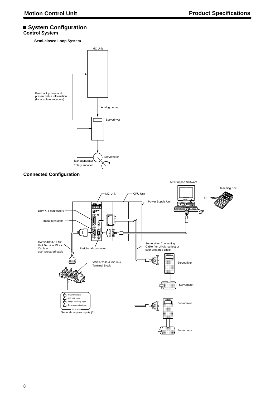#### **System Configuration Control System**

**Semi-closed Loop System**



#### **Connected Configuration**

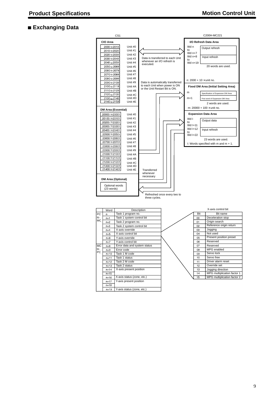## **Exchanging Data**

| CS <sub>1</sub> |                                      |                                                                                                      | C200H-MC221                                                        |                                                                |                            |                  |                                           |                                             |
|-----------------|--------------------------------------|------------------------------------------------------------------------------------------------------|--------------------------------------------------------------------|----------------------------------------------------------------|----------------------------|------------------|-------------------------------------------|---------------------------------------------|
|                 | CIO Area                             |                                                                                                      |                                                                    |                                                                |                            |                  | I/O Refresh Data Area                     |                                             |
|                 | Unit #0<br>2000 to 2019              |                                                                                                      |                                                                    |                                                                | Wd n                       | Output refresh   |                                           |                                             |
|                 | Unit #1<br>2010 to 2029              |                                                                                                      |                                                                    |                                                                |                            | to               |                                           |                                             |
|                 |                                      | Unit #2<br>2020 to 2039                                                                              |                                                                    |                                                                |                            | Wd n+7<br>Wd n+8 |                                           |                                             |
|                 | 2030 to 2049<br>Unit #3              |                                                                                                      |                                                                    | Data is transferred to each Unit<br>whenever an I/O refresh is |                            | to               | Input refresh                             |                                             |
|                 | 2040 to 2059<br>Unit #4<br>executed. |                                                                                                      |                                                                    |                                                                |                            | Wd n+19          |                                           |                                             |
|                 |                                      | 2050 to 2069<br>Unit #5                                                                              |                                                                    |                                                                |                            |                  |                                           | 20 words are used.                          |
|                 | 2060 to 2079<br>Unit #6              |                                                                                                      |                                                                    |                                                                |                            |                  |                                           |                                             |
|                 | 2070 to 2089<br>Unit #7              |                                                                                                      |                                                                    |                                                                |                            |                  |                                           |                                             |
|                 | 2080 to 2099                         | Unit #8                                                                                              |                                                                    |                                                                |                            |                  | n: $2000 + 10 \times$ unit no.            |                                             |
|                 | 2090 to 2109                         | Unit #9                                                                                              | Data is automatically transferred<br>to each Unit when power is ON |                                                                |                            |                  |                                           |                                             |
|                 | 2100 to 2119                         | Unit #A                                                                                              |                                                                    | or the Unit Restart Bit is ON.                                 |                            |                  |                                           | <b>Fixed DM Area (Initial Setting Area)</b> |
|                 | 2110 to 2129                         | Unit #B                                                                                              |                                                                    |                                                                |                            | m                |                                           | Specification of Expansion DM Area          |
|                 | 2120 to 2139<br>2130 to 2149         | Unit #C                                                                                              |                                                                    |                                                                |                            |                  |                                           |                                             |
|                 | 2140 to 2159                         | Unit #D<br>Unit #E                                                                                   |                                                                    |                                                                | $m+1$                      |                  | First word of Expansion DM Area           |                                             |
|                 |                                      |                                                                                                      |                                                                    |                                                                |                            |                  |                                           | 2 words are used.                           |
|                 |                                      | <b>DM Area (Essential)</b>                                                                           |                                                                    |                                                                |                            |                  | m: 20000 + 100 $\times$ unit no.          |                                             |
|                 | 20000 to20001                        | Unit #0                                                                                              |                                                                    |                                                                | <b>Expansion Data Area</b> |                  |                                           |                                             |
|                 | 20100 to20101                        | Unit #1                                                                                              |                                                                    |                                                                |                            | Wd I             |                                           |                                             |
|                 | 20200 to20201                        | Unit #2                                                                                              |                                                                    |                                                                |                            | to               | Output data                               |                                             |
|                 | 20300 to20301                        | Unit #3                                                                                              |                                                                    |                                                                |                            | Wd I+11          |                                           |                                             |
|                 | 20400 to20401                        | Unit #4                                                                                              |                                                                    |                                                                |                            | Wd I+12<br>to    | Input refresh                             |                                             |
|                 | 20500 to 20501                       | Unit #5                                                                                              |                                                                    |                                                                |                            | Wd I+22          |                                           |                                             |
|                 | 20600 to 20601                       | Unit #6                                                                                              |                                                                    |                                                                |                            |                  |                                           | 23 words are used.                          |
|                 | 20700 to 20701                       | Unit #7                                                                                              |                                                                    |                                                                |                            |                  | I: Words specified with $m$ and $m + 1$ . |                                             |
|                 | 20800 to 20801                       | Unit #8                                                                                              |                                                                    |                                                                |                            |                  |                                           |                                             |
|                 | 20900 to 20901                       | Unit #9                                                                                              |                                                                    |                                                                |                            |                  |                                           |                                             |
|                 | 21000 to 21001<br>21100 to 21101     | Unit #A                                                                                              |                                                                    |                                                                |                            |                  |                                           |                                             |
|                 | 21200 to 21201                       | Unit #B                                                                                              |                                                                    |                                                                |                            |                  |                                           |                                             |
|                 | 21300 to 21301                       | Unit #C<br>Unit #D                                                                                   |                                                                    |                                                                |                            |                  |                                           |                                             |
|                 | 21400 to 21401                       | Unit #E                                                                                              | Transferred                                                        |                                                                |                            |                  |                                           |                                             |
|                 |                                      |                                                                                                      | whenever                                                           |                                                                |                            |                  |                                           |                                             |
|                 |                                      | <b>DM Area (Optional)</b>                                                                            | necessary                                                          |                                                                |                            |                  |                                           |                                             |
|                 |                                      |                                                                                                      |                                                                    |                                                                |                            |                  |                                           |                                             |
|                 | Optional words                       |                                                                                                      |                                                                    |                                                                |                            |                  |                                           |                                             |
|                 | $(23$ words)                         |                                                                                                      |                                                                    |                                                                |                            |                  |                                           |                                             |
|                 |                                      |                                                                                                      | Refreshed once every two to                                        |                                                                |                            |                  |                                           |                                             |
|                 |                                      |                                                                                                      | three cycles.                                                      |                                                                |                            |                  |                                           |                                             |
|                 |                                      |                                                                                                      |                                                                    |                                                                |                            |                  |                                           |                                             |
|                 | Word                                 |                                                                                                      | Description                                                        |                                                                |                            |                  |                                           | X-axis control bit                          |
| PC              | n                                    | Task 1 program no.                                                                                   |                                                                    |                                                                |                            | Bit              |                                           | Bit name                                    |
| to<br>МC        | $n+1$                                | Task 1 system control bit                                                                            |                                                                    |                                                                |                            | <sub>00</sub>    |                                           | Deceleration stop                           |
|                 | $n+2$                                | Task 2 program no.                                                                                   |                                                                    |                                                                |                            | 01               |                                           | Origin search                               |
|                 | $n+3$                                |                                                                                                      | Task 2 system control bit<br>X-axis override<br>X-axis control bit |                                                                |                            | 02               |                                           | Reference origin return                     |
|                 | $n+4$                                |                                                                                                      |                                                                    |                                                                |                            | 03<br>04         | Jogging<br>Not used                       |                                             |
|                 | n+5                                  |                                                                                                      |                                                                    |                                                                |                            | 05               |                                           | Present position preset                     |
|                 | $n+6$<br>n+7                         | Y-axis override<br>Y-axis control bit<br>Error data and system status<br>Error code<br>Task 1 M code |                                                                    |                                                                |                            | 06               | Reserved                                  |                                             |
| MC              | n+8                                  |                                                                                                      |                                                                    |                                                                |                            | 07               | Reserved                                  |                                             |
| to              | $n+9$                                |                                                                                                      |                                                                    |                                                                |                            | 08               |                                           | MPG enabled                                 |
| PC              | n+10                                 |                                                                                                      |                                                                    |                                                                |                            | 09               | Servo lock                                |                                             |
|                 | $n + 11$                             | Task 1 status                                                                                        |                                                                    |                                                                |                            | 10               | Servo free                                |                                             |
|                 | n+12                                 | Task 2 M code                                                                                        |                                                                    |                                                                |                            | 11               |                                           | Driver alarm reset                          |
|                 | $n+13$                               | Task 2 status                                                                                        |                                                                    |                                                                |                            | 12               | Override set                              |                                             |
|                 | $n + 14$                             | X-axis present position                                                                              |                                                                    |                                                                |                            | 13               |                                           | Jogging direction                           |
|                 | $n+15$                               |                                                                                                      |                                                                    |                                                                |                            | 14               |                                           | MPG multiplication factor 1                 |
|                 | n+16                                 | X-axis status (zone, etc.)                                                                           |                                                                    |                                                                |                            | 15               |                                           | MPG multiplication factor 2                 |
|                 | Y-axis present position<br>$n + 17$  |                                                                                                      |                                                                    |                                                                |                            |                  |                                           |                                             |
|                 | $n + 18$                             |                                                                                                      |                                                                    |                                                                |                            |                  |                                           |                                             |
|                 | $n+19$                               | Y-axis status (zone, etc.)                                                                           |                                                                    |                                                                |                            |                  |                                           |                                             |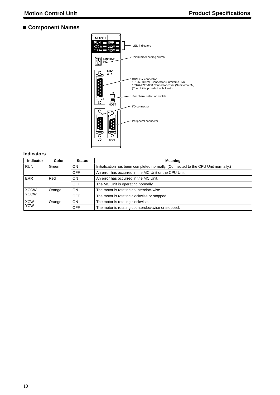## **Component Names**



#### **Indicators**

| <b>Indicator</b>         | Color  | <b>Status</b> | <b>Meaning</b>                                                                    |  |
|--------------------------|--------|---------------|-----------------------------------------------------------------------------------|--|
| <b>RUN</b>               | Green  | <b>ON</b>     | Initialization has been completed normally. (Connected to the CPU Unit normally.) |  |
|                          |        | <b>OFF</b>    | An error has occurred in the MC Unit or the CPU Unit.                             |  |
| ERR                      | Red    | <b>ON</b>     | An error has occurred in the MC Unit.                                             |  |
|                          |        | <b>OFF</b>    | The MC Unit is operating normally.                                                |  |
| <b>XCCW</b>              | Orange | <b>ON</b>     | The motor is rotating counterclockwise.                                           |  |
| <b>YCCW</b>              |        | <b>OFF</b>    | The motor is rotating clockwise or stopped.                                       |  |
| <b>XCW</b><br><b>YCW</b> | Orange | <b>ON</b>     | The motor is rotating clockwise.                                                  |  |
|                          |        | <b>OFF</b>    | The motor is rotating counterclockwise or stopped.                                |  |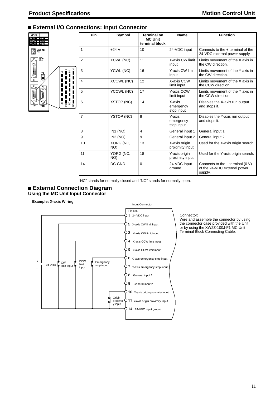## **External I/O Connections: Input Connector**

| MC221<br>RUN<br>ERR<br><b>XCCW</b><br>XC<br>YCCW |               |
|--------------------------------------------------|---------------|
| MACHINE<br>NO.                                   |               |
| DRV.<br>X                                        |               |
| T.B<br>но                                        | N<br>ı        |
|                                                  | ١<br>ı<br>٦   |
| vo<br>TOOL                                       | $\frac{1}{2}$ |
|                                                  |               |

| Pin            | Symbol            | <b>Terminal on</b><br><b>MC Unit</b><br>terminal block | <b>Name</b>                       | <b>Function</b>                                                               |
|----------------|-------------------|--------------------------------------------------------|-----------------------------------|-------------------------------------------------------------------------------|
| 1              | $+24V$            | 10                                                     | 24-VDC input                      | Connects to the + terminal of the<br>24-VDC external power supply.            |
| $\overline{2}$ | XCWL (NC)         | 11                                                     | X-axis CW limit<br>input          | Limits movement of the X axis in<br>the CW direction.                         |
| 3              | YCWL (NC)         | 16                                                     | Y-axis CW limit<br>input          | Limits movement of the Y axis in<br>the CW direction.                         |
| $\overline{4}$ | XCCWL (NC)        | 12                                                     | X-axis CCW<br>limit input         | Limits movement of the X axis in<br>the CCW direction.                        |
| 5              | YCCWL (NC)        | 17                                                     | Y-axis CCW<br>limit input         | Limits movement of the Y axis in<br>the CCW direction.                        |
| 6              | XSTOP (NC)        | 14                                                     | X-axis<br>emergency<br>stop input | Disables the X-axis run output<br>and stops it.                               |
| $\overline{7}$ | <b>YSTOP (NC)</b> | 8                                                      | Y-axis<br>emergency<br>stop input | Disables the Y-axis run output<br>and stops it.                               |
| 8              | IN1 (NO)          | 4                                                      | General input 1                   | General input 1                                                               |
| 9              | IN2 (NO)          | 9                                                      | General input 2                   | General input 2                                                               |
| 10             | XORG (NC,<br>NO)  | 13                                                     | X-axis origin<br>proximity input  | Used for the X-axis origin search.                                            |
| 11             | YORG (NC,<br>NO)  | 18                                                     | Y-axis origin<br>proximity input  | Used for the Y-axis origin search.                                            |
| 14             | DC GND            | $\Omega$                                               | 24-VDC input<br>ground            | Connects to the $-$ terminal (0 V)<br>of the 24-VDC external power<br>supply. |

"NC" stands for normally closed and "NO" stands for normally open.

#### **External Connection Diagram Using the MC Unit Input Connector**

#### **Example: X-axis Wiring**



#### Connector:

Wire and assemble the connector by using the connector case provided with the Unit or by using the XW2Z-100J-F1 MC Unit Terminal Block Connecting Cable.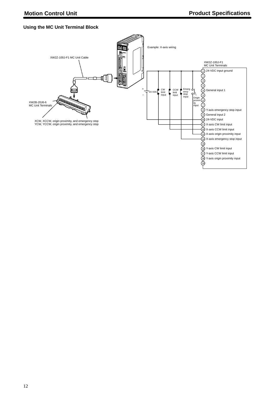## **Using the MC Unit Terminal Block**

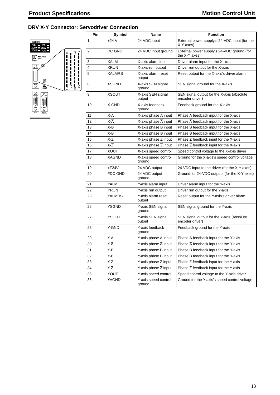## **DRV X-Y Connector: Servodriver Connection**



| Pin    | Symbol                          | Name                              | <b>Function</b>                                               |
|--------|---------------------------------|-----------------------------------|---------------------------------------------------------------|
| 1      | $+24V$                          | 24 VDC input                      | External power supply's 24-VDC input (for the<br>X-Y axes)    |
| 2      | DC GND                          | 24 VDC input ground               | External power supply's 24-VDC ground (for<br>the X-Y axes)   |
| 3      | <b>XALM</b>                     | X-axis alarm input                | Driver alarm input for the X-axis                             |
| 4      | XRUN                            | X-axis run output                 | Driver run output for the X-axis                              |
| 5      | <b>XALMRS</b>                   | X-axis alarm reset<br>output      | Reset output for the X-axis's driver alarm.                   |
| 8      | <b>XSGND</b>                    | X-axis SEN signal<br>ground       | SEN signal ground for the X-axis                              |
| 9      | XSOUT                           | X-axis SEN signal<br>output       | SEN signal output for the X-axis (absolute<br>encoder driver) |
| 10     | X-GND                           | X-axis feedback<br>ground         | Feedback ground for the X-axis                                |
| 11     | X-A                             | X-axis phase A input              | Phase A feedback input for the X-axis                         |
| 12     | X-A                             | X-axis phase $\overline{A}$ input | Phase $\overline{A}$ feedback input for the X-axis            |
| 13     | X-B                             | X-axis phase B input              | Phase B feedback input for the X-axis                         |
| 14     | X-B                             | X-axis phase B input              | Phase $\overline{B}$ feedback input for the X-axis            |
| 15     | X-Z                             | X-axis phase Z input              | Phase Z feedback input for the X-axis                         |
| 16     | ΧĪ                              | X-axis phase $\overline{Z}$ input | Phase $\overline{Z}$ feedback input for the X-axis            |
| 17     | <b>XOUT</b>                     | X-axis speed control              | Speed control voltage to the X-axis driver                    |
| 18     | XAGND                           | X-axis speed control<br>ground    | Ground for the X-axis's speed control voltage                 |
| 19     | $+F24V$                         | 24 VDC output                     | 24-VDC input to the driver (for the X-Y axes)                 |
| 20     | <b>FDC GND</b>                  | 24 VDC output<br>ground           | Ground for 24-VDC outputs (for the X-Y axes)                  |
| 21     | <b>YALM</b>                     | Y-axis alarm input                | Driver alarm input for the Y-axis                             |
| 22     | <b>YRUN</b>                     | Y-axis run output                 | Driver run output for the Y-axis                              |
| 23     | <b>YALMRS</b>                   | Y-axis alarm reset<br>output      | Reset output for the Y-axis's driver alarm.                   |
| 26     | <b>YSGND</b>                    | Y-axis SEN signal<br>ground       | SEN signal ground for the Y-axis                              |
| 27     | <b>YSOUT</b>                    | Y-axis SEN signal<br>output       | SEN signal output for the Y-axis (absolute<br>encoder driver) |
| 28     | Y-GND                           | Y-axis feedback<br>ground         | Feedback ground for the Y-axis                                |
| 29     | Y-A                             | Y-axis phase A input              | Phase A feedback input for the Y-axis                         |
| $30\,$ | $\overline{Y}$ - $\overline{A}$ | Y-axis phase $\overline{A}$ input | Phase $\overline{A}$ feedback input for the Y-axis            |
| 31     | Y B                             | Y-axis phase B input              | Phase B feedback input for the Y-axis                         |
| 32     | Y-B                             | Y-axis phase B input              | Phase $\overline{B}$ feedback input for the Y-axis            |
| 33     | Y-Z                             | Y-axis phase Z input              | Phase Z feedback input for the Y-axis                         |
| 34     | Y-Z                             | Y-axis phase $\overline{Z}$ input | Phase $\overline{Z}$ feedback input for the Y-axis            |
| 35     | YOUT                            | Y-axis speed control              | Speed control voltage to the Y-axis driver                    |
| 36     | <b>YAGND</b>                    | Y-axis speed control<br>ground    | Ground for the Y-axis's speed control voltage                 |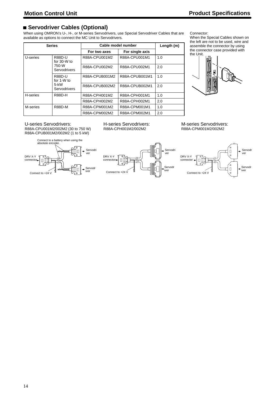## **Servodriver Cables (Optional)**

When using OMRON's U-, H-, or M-series Servodrivers, use Special Servodriver Cables that are available as options to connect the MC Unit to Servodrivers.

|          | <b>Series</b>                                           | Cable model number              | Length (m)     |     |
|----------|---------------------------------------------------------|---------------------------------|----------------|-----|
|          |                                                         | For single axis<br>For two axes |                |     |
| U-series | <b>R88D-U</b><br>for $30-W$ to<br>750-W<br>Servodrivers | R88A-CPU001M2                   | R88A-CPU001M1  | 1.0 |
|          |                                                         | R88A-CPU002M2                   | R88A-CPU002M1  | 2.0 |
|          | <b>R88D-U</b><br>for 1-W to<br>$5 - kW$<br>Servodrivers | R88A-CPUB001M2                  | R88A-CPUB001M1 | 1.0 |
|          |                                                         | R88A-CPUB002M2                  | R88A-CPUB002M1 | 2.0 |
| H-series | <b>R88D-H</b>                                           | R88A-CPH001M2                   | R88A-CPH001M1  | 1.0 |
|          |                                                         | R88A-CPH002M2                   | R88A-CPH002M1  | 2.0 |
| M-series | <b>R88D-M</b>                                           | R88A-CPM001M2                   | R88A-CPM001M1  | 1.0 |
|          |                                                         | R88A-CPM002M2                   | R88A-CPM002M1  | 2.0 |

Connector:

When the Special Cables shown on the left are not to be used, wire and assemble the connector by using the connector case provided with the Unit.



U-series Servodrivers:

R88A-CPU001M2/002M2 (30 to 750 W) R88A-CPUB001M2/002M2 (1 to 5 kW)



H-series Servodrivers: R88A-CPH001M2/002M2

M-series Servodrivers: R88A-CPM001M2/002M2



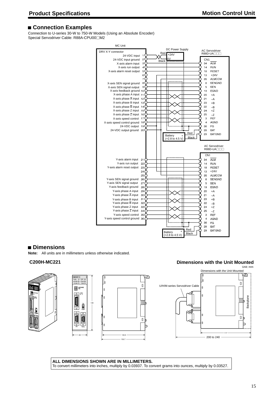## **Connection Examples**

Connection to U-series 30-W to 750-W Models (Using an Absolute Encoder) Special Servodriver Cable: R88A-CPU00<sup>M2</sup>



## **Dimensions**

**Note:** All units are in millimeters unless otherwise indicated.







## **C200H-MC221 Dimensions with the Unit Mounted**



**ALL DIMENSIONS SHOWN ARE IN MILLIMETERS.** To convert millimeters into inches, multiply by 0.03937. To convert grams into ounces, multiply by 0.03527.

ر⊡